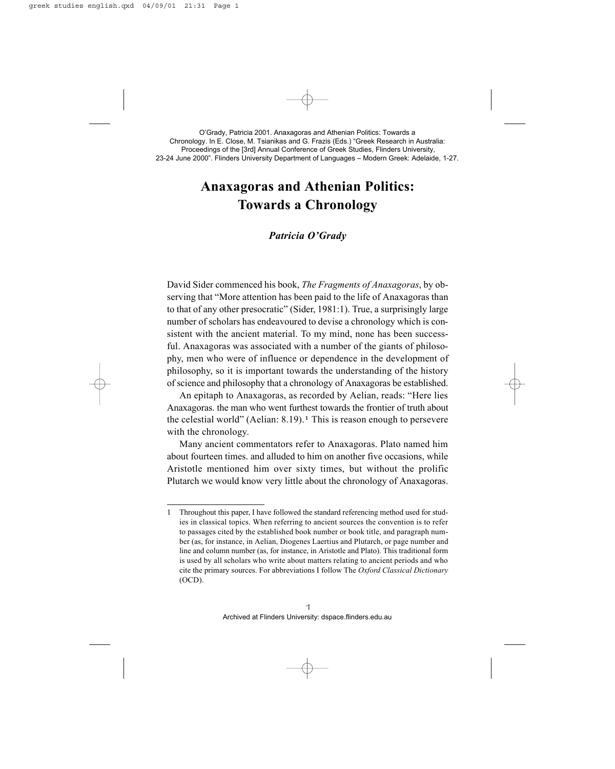Chronology. In E. Close, M. Tsianikas and G. Frazis (Eds.) "Greek Research in Australia: Proceedings of the [3rd] Annual Conference of Greek Studies, Flinders University, 23-24 June 2000". Flinders University Department of Languages – Modern Greek: Adelaide, 1-27.

# **Anaxagoras and Athenian Politics: Towards a Chronology**

# *Patricia O'Grady*

David Sider commenced his book, *The Fragments of Anaxagoras*, by observing that "More attention has been paid to the life of Anaxagoras than to that of any other presocratic" (Sider, 1981:1). True, a surprisingly large number of scholars has endeavoured to devise a chronology which is consistent with the ancient material. To my mind, none has been successful. Anaxagoras was associated with a number of the giants of philosophy, men who were of influence or dependence in the development of philosophy, so it is important towards the understanding of the history of science and philosophy that a chronology of Anaxagoras be established. O'Grady, Patricia 2001. Anaxagoras and Athenian Politics: Towards and C. Frinders University: Toward Core Studies, Finders University: Department of Languages – Modern Greek. A<br>**Anaxagoras and Athenian Politics:**<br>Towards U

An epitaph to Anaxagoras, as recorded by Aelian, reads: "Here lies Anaxagoras. the man who went furthest towards the frontier of truth about the celestial world" (Aelian:  $8.19$ ).<sup>1</sup> This is reason enough to persevere with the chronology.

Many ancient commentators refer to Anaxagoras. Plato named him about fourteen times. and alluded to him on another five occasions, while Aristotle mentioned him over sixty times, but without the prolific Plutarch we would know very little about the chronology of Anaxagoras.

<sup>1</sup> Throughout this paper, I have followed the standard referencing method used for studies in classical topics. When referring to ancient sources the convention is to refer to passages cited by the established book number or book title, and paragraph number (as, for instance, in Aelian, Diogenes Laertius and Plutarch, or page number and line and column number (as, for instance, in Aristotle and Plato). This traditional form is used by all scholars who write about matters relating to ancient periods and who cite the primary sources. For abbreviations I follow The *Oxford Classical Dictionary* (OCD).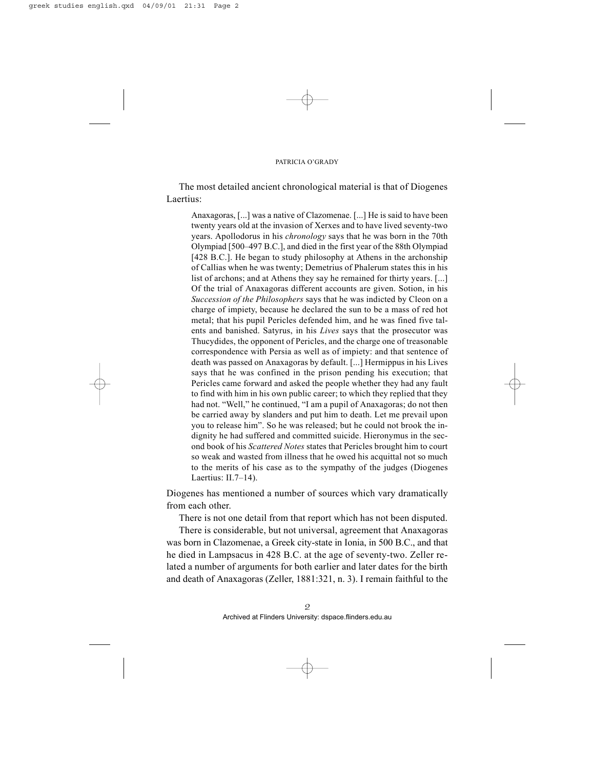The most detailed ancient chronological material is that of Diogenes Laertius:

Anaxagoras, [...] was a native of Clazomenae. [...] He is said to have been twenty years old at the invasion of Xerxes and to have lived seventy-two years. Apollodorus in his *chronology* says that he was born in the 70th Olympiad [500–497 B.C.], and died in the first year of the 88th Olympiad [428 B.C.]. He began to study philosophy at Athens in the archonship of Callias when he was twenty; Demetrius of Phalerum states this in his list of archons; and at Athens they say he remained for thirty years. [...] Of the trial of Anaxagoras different accounts are given. Sotion, in his *Succession of the Philosophers* says that he was indicted by Cleon on a charge of impiety, because he declared the sun to be a mass of red hot metal; that his pupil Pericles defended him, and he was fined five talents and banished. Satyrus, in his *Lives* says that the prosecutor was Thucydides, the opponent of Pericles, and the charge one of treasonable correspondence with Persia as well as of impiety: and that sentence of death was passed on Anaxagoras by default. [...] Hermippus in his Lives says that he was confined in the prison pending his execution; that Pericles came forward and asked the people whether they had any fault to find with him in his own public career; to which they replied that they had not. "Well," he continued, "I am a pupil of Anaxagoras; do not then be carried away by slanders and put him to death. Let me prevail upon you to release him". So he was released; but he could not brook the indignity he had suffered and committed suicide. Hieronymus in the second book of his *Scattered Notes* states that Pericles brought him to court so weak and wasted from illness that he owed his acquittal not so much to the merits of his case as to the sympathy of the judges (Diogenes Laertius: II.7–14).

Diogenes has mentioned a number of sources which vary dramatically from each other.

There is not one detail from that report which has not been disputed.

There is considerable, but not universal, agreement that Anaxagoras was born in Clazomenae, a Greek city-state in Ionia, in 500 B.C., and that he died in Lampsacus in 428 B.C. at the age of seventy-two. Zeller related a number of arguments for both earlier and later dates for the birth and death of Anaxagoras (Zeller, 1881:321, n. 3). I remain faithful to the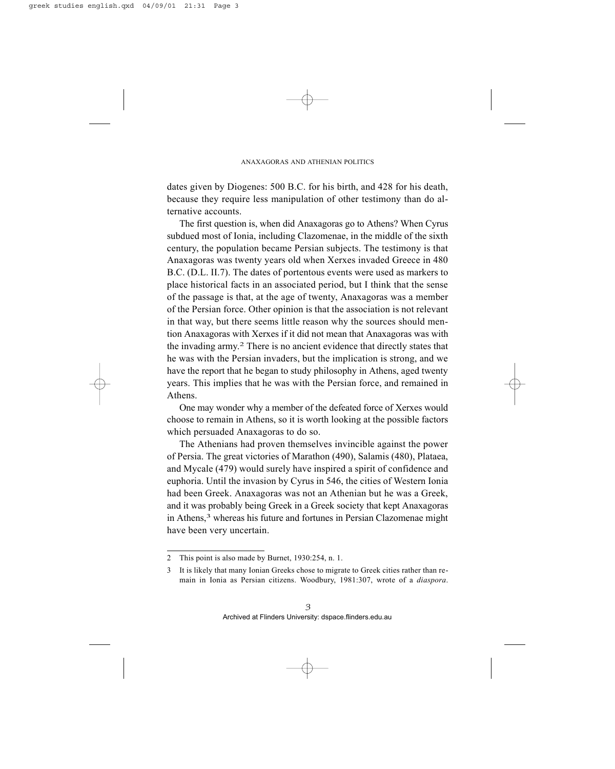dates given by Diogenes: 500 B.C. for his birth, and 428 for his death, because they require less manipulation of other testimony than do alternative accounts.

The first question is, when did Anaxagoras go to Athens? When Cyrus subdued most of Ionia, including Clazomenae, in the middle of the sixth century, the population became Persian subjects. The testimony is that Anaxagoras was twenty years old when Xerxes invaded Greece in 480 B.C. (D.L. II.7). The dates of portentous events were used as markers to place historical facts in an associated period, but I think that the sense of the passage is that, at the age of twenty, Anaxagoras was a member of the Persian force. Other opinion is that the association is not relevant in that way, but there seems little reason why the sources should mention Anaxagoras with Xerxes if it did not mean that Anaxagoras was with the invading army.2 There is no ancient evidence that directly states that he was with the Persian invaders, but the implication is strong, and we have the report that he began to study philosophy in Athens, aged twenty years. This implies that he was with the Persian force, and remained in Athens.

One may wonder why a member of the defeated force of Xerxes would choose to remain in Athens, so it is worth looking at the possible factors which persuaded Anaxagoras to do so.

The Athenians had proven themselves invincible against the power of Persia. The great victories of Marathon (490), Salamis (480), Plataea, and Mycale (479) would surely have inspired a spirit of confidence and euphoria. Until the invasion by Cyrus in 546, the cities of Western Ionia had been Greek. Anaxagoras was not an Athenian but he was a Greek, and it was probably being Greek in a Greek society that kept Anaxagoras in Athens,<sup>3</sup> whereas his future and fortunes in Persian Clazomenae might have been very uncertain.

<sup>2</sup> This point is also made by Burnet, 1930:254, n. 1.

<sup>3</sup> It is likely that many Ionian Greeks chose to migrate to Greek cities rather than remain in Ionia as Persian citizens. Woodbury, 1981:307, wrote of a *diaspora*.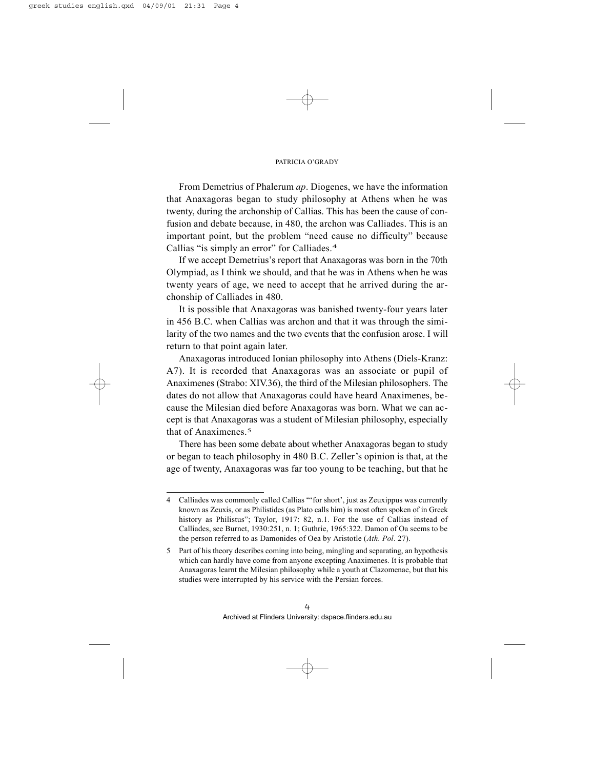From Demetrius of Phalerum *ap*. Diogenes, we have the information that Anaxagoras began to study philosophy at Athens when he was twenty, during the archonship of Callias. This has been the cause of confusion and debate because, in 480, the archon was Calliades. This is an important point, but the problem "need cause no difficulty" because Callias "is simply an error" for Calliades.<sup>4</sup>

If we accept Demetrius's report that Anaxagoras was born in the 70th Olympiad, as I think we should, and that he was in Athens when he was twenty years of age, we need to accept that he arrived during the archonship of Calliades in 480.

It is possible that Anaxagoras was banished twenty-four years later in 456 B.C. when Callias was archon and that it was through the similarity of the two names and the two events that the confusion arose. I will return to that point again later.

Anaxagoras introduced Ionian philosophy into Athens (Diels-Kranz: A7). It is recorded that Anaxagoras was an associate or pupil of Anaximenes (Strabo: XIV.36), the third of the Milesian philosophers. The dates do not allow that Anaxagoras could have heard Anaximenes, because the Milesian died before Anaxagoras was born. What we can accept is that Anaxagoras was a student of Milesian philosophy, especially that of Anaximenes<sup>5</sup>

There has been some debate about whether Anaxagoras began to study or began to teach philosophy in 480 B.C. Zeller's opinion is that, at the age of twenty, Anaxagoras was far too young to be teaching, but that he

<sup>4</sup> Calliades was commonly called Callias "'for short', just as Zeuxippus was currently known as Zeuxis, or as Philistides (as Plato calls him) is most often spoken of in Greek history as Philistus"; Taylor, 1917: 82, n.1. For the use of Callias instead of Calliades, see Burnet, 1930:251, n. 1; Guthrie, 1965:322. Damon of Oa seems to be the person referred to as Damonides of Oea by Aristotle (*Ath. Pol*. 27).

<sup>5</sup> Part of his theory describes coming into being, mingling and separating, an hypothesis which can hardly have come from anyone excepting Anaximenes. It is probable that Anaxagoras learnt the Milesian philosophy while a youth at Clazomenae, but that his studies were interrupted by his service with the Persian forces.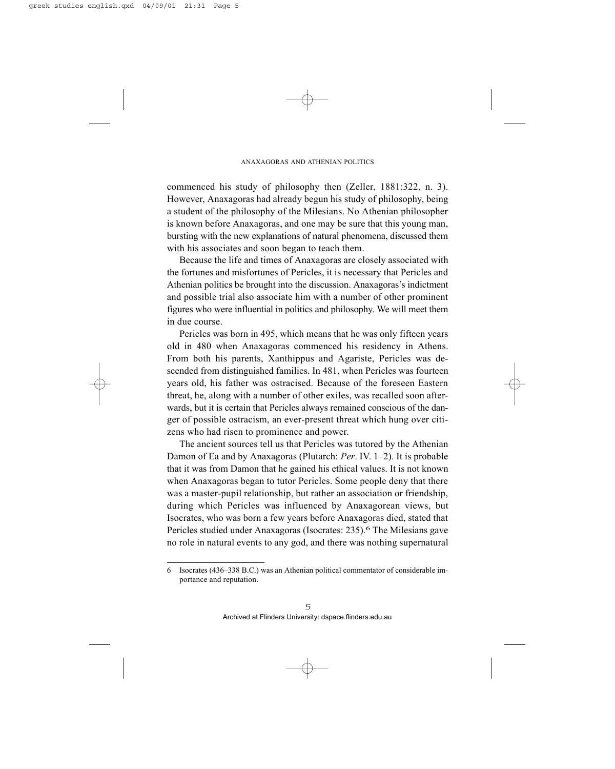commenced his study of philosophy then (Zeller, 1881:322, n. 3). However, Anaxagoras had already begun his study of philosophy, being a student of the philosophy of the Milesians. No Athenian philosopher is known before Anaxagoras, and one may be sure that this young man, bursting with the new explanations of natural phenomena, discussed them with his associates and soon began to teach them.

Because the life and times of Anaxagoras are closely associated with the fortunes and misfortunes of Pericles, it is necessary that Pericles and Athenian politics be brought into the discussion. Anaxagoras's indictment and possible trial also associate him with a number of other prominent figures who were influential in politics and philosophy. We will meet them in due course.

Pericles was born in 495, which means that he was only fifteen years old in 480 when Anaxagoras commenced his residency in Athens. From both his parents, Xanthippus and Agariste, Pericles was descended from distinguished families. In 481, when Pericles was fourteen years old, his father was ostracised. Because of the foreseen Eastern threat, he, along with a number of other exiles, was recalled soon afterwards, but it is certain that Pericles always remained conscious of the danger of possible ostracism, an ever-present threat which hung over citizens who had risen to prominence and power.

The ancient sources tell us that Pericles was tutored by the Athenian Damon of Ea and by Anaxagoras (Plutarch: *Per*. IV. 1–2). It is probable that it was from Damon that he gained his ethical values. It is not known when Anaxagoras began to tutor Pericles. Some people deny that there was a master-pupil relationship, but rather an association or friendship, during which Pericles was influenced by Anaxagorean views, but Isocrates, who was born a few years before Anaxagoras died, stated that Pericles studied under Anaxagoras (Isocrates: 235).<sup>6</sup> The Milesians gave no role in natural events to any god, and there was nothing supernatural

<sup>6</sup> Isocrates (436–338 B.C.) was an Athenian political commentator of considerable importance and reputation.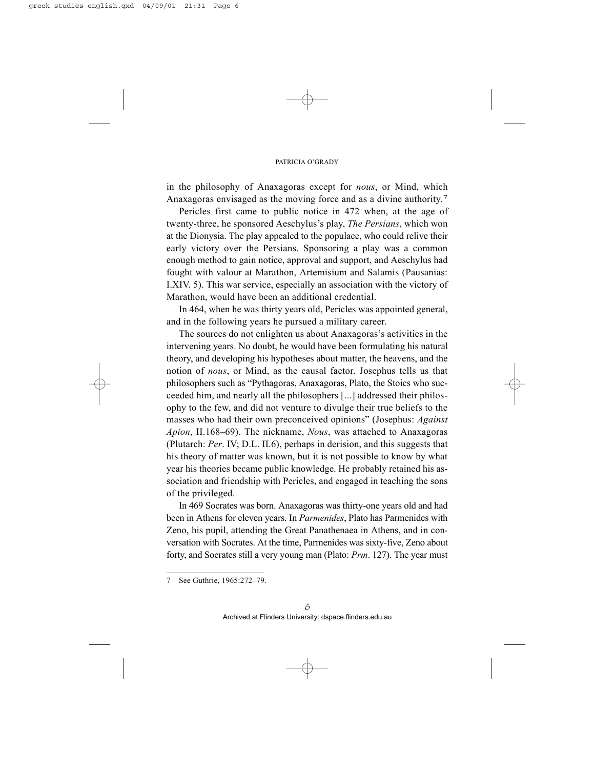in the philosophy of Anaxagoras except for *nous*, or Mind, which Anaxagoras envisaged as the moving force and as a divine authority.7

Pericles first came to public notice in 472 when, at the age of twenty-three, he sponsored Aeschylus's play, *The Persians*, which won at the Dionysia. The play appealed to the populace, who could relive their early victory over the Persians. Sponsoring a play was a common enough method to gain notice, approval and support, and Aeschylus had fought with valour at Marathon, Artemisium and Salamis (Pausanias: I.XIV. 5). This war service, especially an association with the victory of Marathon, would have been an additional credential.

In 464, when he was thirty years old, Pericles was appointed general, and in the following years he pursued a military career.

The sources do not enlighten us about Anaxagoras's activities in the intervening years. No doubt, he would have been formulating his natural theory, and developing his hypotheses about matter, the heavens, and the notion of *nous*, or Mind, as the causal factor. Josephus tells us that philosophers such as "Pythagoras, Anaxagoras, Plato, the Stoics who succeeded him, and nearly all the philosophers [...] addressed their philosophy to the few, and did not venture to divulge their true beliefs to the masses who had their own preconceived opinions" (Josephus: *Against Apion*, II.168–69). The nickname, *Nous*, was attached to Anaxagoras (Plutarch: *Per*. IV; D.L. II.6), perhaps in derision, and this suggests that his theory of matter was known, but it is not possible to know by what year his theories became public knowledge. He probably retained his association and friendship with Pericles, and engaged in teaching the sons of the privileged.

In 469 Socrates was born. Anaxagoras was thirty-one years old and had been in Athens for eleven years. In *Parmenides*, Plato has Parmenides with Zeno, his pupil, attending the Great Panathenaea in Athens, and in conversation with Socrates. At the time, Parmenides was sixty-five, Zeno about forty, and Socrates still a very young man (Plato: *Prm*. 127). The year must

<sup>7</sup> See Guthrie, 1965:272–79.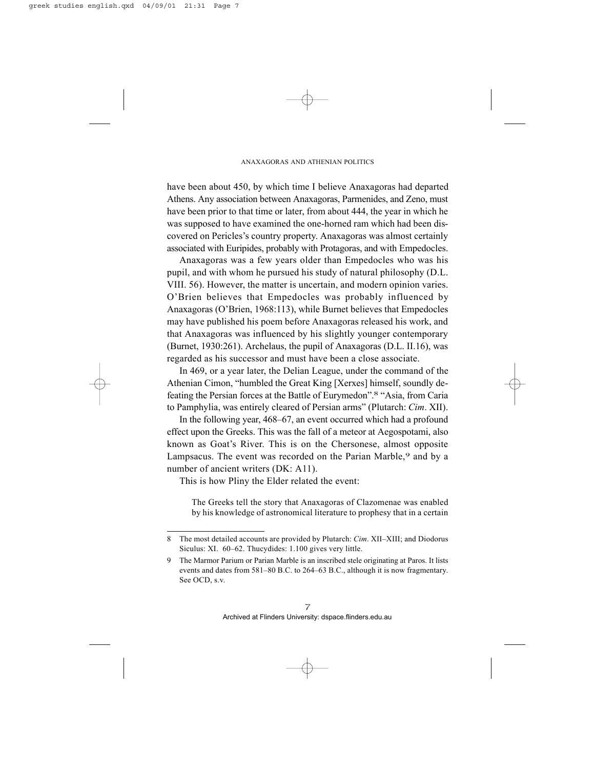have been about 450, by which time I believe Anaxagoras had departed Athens. Any association between Anaxagoras, Parmenides, and Zeno, must have been prior to that time or later, from about 444, the year in which he was supposed to have examined the one-horned ram which had been discovered on Pericles's country property. Anaxagoras was almost certainly associated with Euripides, probably with Protagoras, and with Empedocles.

Anaxagoras was a few years older than Empedocles who was his pupil, and with whom he pursued his study of natural philosophy (D.L. VIII. 56). However, the matter is uncertain, and modern opinion varies. O'Brien believes that Empedocles was probably influenced by Anaxagoras (O'Brien, 1968:113), while Burnet believes that Empedocles may have published his poem before Anaxagoras released his work, and that Anaxagoras was influenced by his slightly younger contemporary (Burnet, 1930:261). Archelaus, the pupil of Anaxagoras (D.L. II.16), was regarded as his successor and must have been a close associate.

In 469, or a year later, the Delian League, under the command of the Athenian Cimon, "humbled the Great King [Xerxes] himself, soundly defeating the Persian forces at the Battle of Eurymedon".8 "Asia, from Caria to Pamphylia, was entirely cleared of Persian arms" (Plutarch: *Cim*. XII).

In the following year, 468–67, an event occurred which had a profound effect upon the Greeks. This was the fall of a meteor at Aegospotami, also known as Goat's River. This is on the Chersonese, almost opposite Lampsacus. The event was recorded on the Parian Marble,<sup>9</sup> and by a number of ancient writers (DK: A11).

This is how Pliny the Elder related the event:

The Greeks tell the story that Anaxagoras of Clazomenae was enabled by his knowledge of astronomical literature to prophesy that in a certain

<sup>8</sup> The most detailed accounts are provided by Plutarch: *Cim*. XII–XIII; and Diodorus Siculus: XI. 60–62. Thucydides: 1.100 gives very little.

<sup>9</sup> The Marmor Parium or Parian Marble is an inscribed stele originating at Paros. It lists events and dates from 581–80 B.C. to 264–63 B.C., although it is now fragmentary. See OCD, s.v.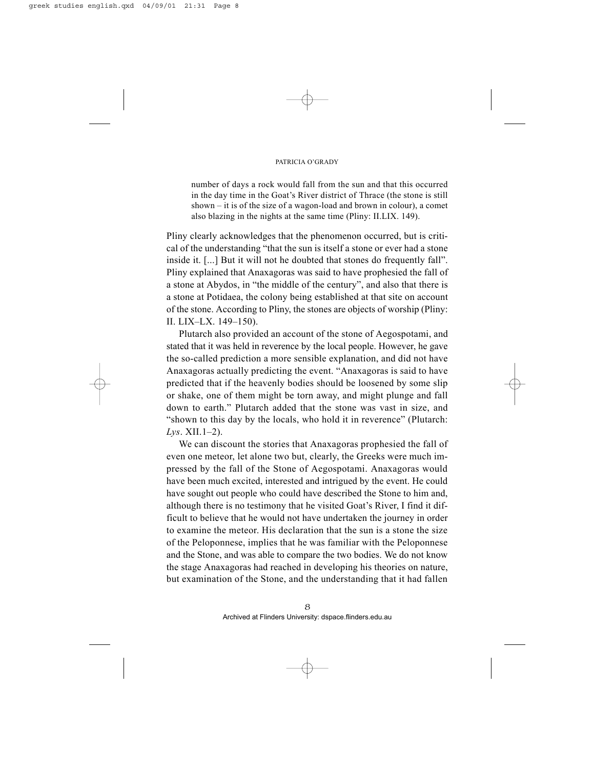number of days a rock would fall from the sun and that this occurred in the day time in the Goat's River district of Thrace (the stone is still shown – it is of the size of a wagon-load and brown in colour), a comet also blazing in the nights at the same time (Pliny: II.LIX. 149).

Pliny clearly acknowledges that the phenomenon occurred, but is critical of the understanding "that the sun is itself a stone or ever had a stone inside it. [...] But it will not he doubted that stones do frequently fall". Pliny explained that Anaxagoras was said to have prophesied the fall of a stone at Abydos, in "the middle of the century", and also that there is a stone at Potidaea, the colony being established at that site on account of the stone. According to Pliny, the stones are objects of worship (Pliny: II. LIX–LX. 149–150).

Plutarch also provided an account of the stone of Aegospotami, and stated that it was held in reverence by the local people. However, he gave the so-called prediction a more sensible explanation, and did not have Anaxagoras actually predicting the event. "Anaxagoras is said to have predicted that if the heavenly bodies should be loosened by some slip or shake, one of them might be torn away, and might plunge and fall down to earth." Plutarch added that the stone was vast in size, and "shown to this day by the locals, who hold it in reverence" (Plutarch: *Lys*. XII.1–2).

We can discount the stories that Anaxagoras prophesied the fall of even one meteor, let alone two but, clearly, the Greeks were much impressed by the fall of the Stone of Aegospotami. Anaxagoras would have been much excited, interested and intrigued by the event. He could have sought out people who could have described the Stone to him and, although there is no testimony that he visited Goat's River, I find it difficult to believe that he would not have undertaken the journey in order to examine the meteor. His declaration that the sun is a stone the size of the Peloponnese, implies that he was familiar with the Peloponnese and the Stone, and was able to compare the two bodies. We do not know the stage Anaxagoras had reached in developing his theories on nature, but examination of the Stone, and the understanding that it had fallen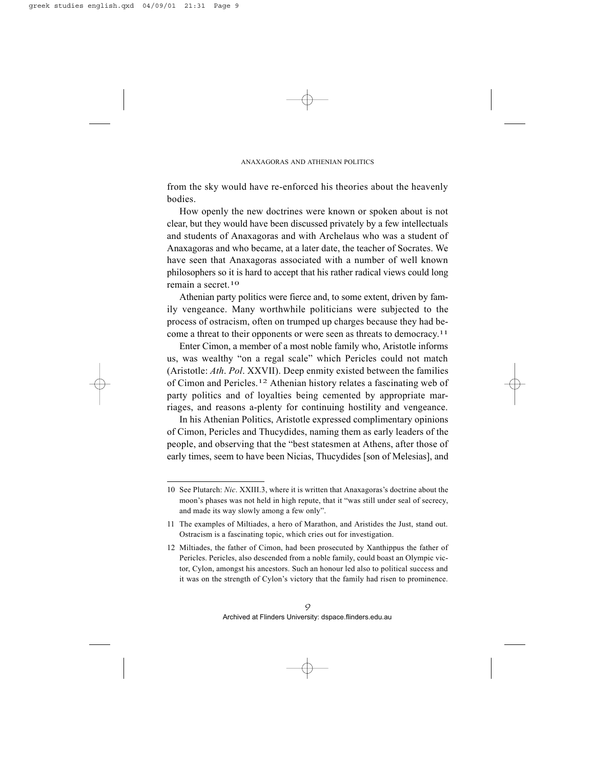from the sky would have re-enforced his theories about the heavenly bodies.

How openly the new doctrines were known or spoken about is not clear, but they would have been discussed privately by a few intellectuals and students of Anaxagoras and with Archelaus who was a student of Anaxagoras and who became, at a later date, the teacher of Socrates. We have seen that Anaxagoras associated with a number of well known philosophers so it is hard to accept that his rather radical views could long remain a secret 10

Athenian party politics were fierce and, to some extent, driven by family vengeance. Many worthwhile politicians were subjected to the process of ostracism, often on trumped up charges because they had become a threat to their opponents or were seen as threats to democracy.11

Enter Cimon, a member of a most noble family who, Aristotle informs us, was wealthy "on a regal scale" which Pericles could not match (Aristotle: *Ath*. *Pol*. XXVII). Deep enmity existed between the families of Cimon and Pericles.12 Athenian history relates a fascinating web of party politics and of loyalties being cemented by appropriate marriages, and reasons a-plenty for continuing hostility and vengeance.

In his Athenian Politics, Aristotle expressed complimentary opinions of Cimon, Pericles and Thucydides, naming them as early leaders of the people, and observing that the "best statesmen at Athens, after those of early times, seem to have been Nicias, Thucydides [son of Melesias], and

<sup>10</sup> See Plutarch: *Nic*. XXIII.3, where it is written that Anaxagoras's doctrine about the moon's phases was not held in high repute, that it "was still under seal of secrecy, and made its way slowly among a few only".

<sup>11</sup> The examples of Miltiades, a hero of Marathon, and Aristides the Just, stand out. Ostracism is a fascinating topic, which cries out for investigation.

<sup>12</sup> Miltiades, the father of Cimon, had been prosecuted by Xanthippus the father of Pericles. Pericles, also descended from a noble family, could boast an Olympic victor, Cylon, amongst his ancestors. Such an honour led also to political success and it was on the strength of Cylon's victory that the family had risen to prominence.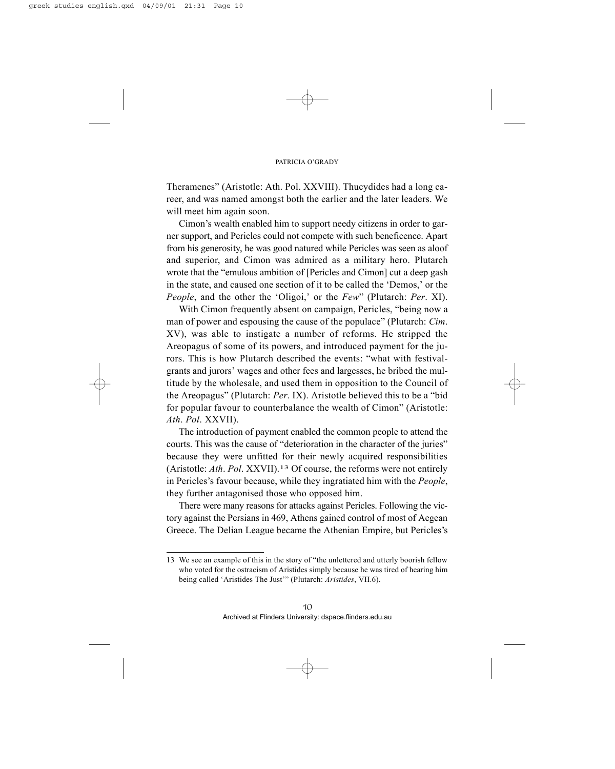Theramenes" (Aristotle: Ath. Pol. XXVIII). Thucydides had a long career, and was named amongst both the earlier and the later leaders. We will meet him again soon.

Cimon's wealth enabled him to support needy citizens in order to garner support, and Pericles could not compete with such beneficence. Apart from his generosity, he was good natured while Pericles was seen as aloof and superior, and Cimon was admired as a military hero. Plutarch wrote that the "emulous ambition of [Pericles and Cimon] cut a deep gash in the state, and caused one section of it to be called the 'Demos,' or the *People*, and the other the 'Oligoi,' or the *Few*" (Plutarch: *Per*. XI).

With Cimon frequently absent on campaign, Pericles, "being now a man of power and espousing the cause of the populace" (Plutarch: *Cim*. XV), was able to instigate a number of reforms. He stripped the Areopagus of some of its powers, and introduced payment for the jurors. This is how Plutarch described the events: "what with festivalgrants and jurors' wages and other fees and largesses, he bribed the multitude by the wholesale, and used them in opposition to the Council of the Areopagus" (Plutarch: *Per*. IX). Aristotle believed this to be a "bid for popular favour to counterbalance the wealth of Cimon" (Aristotle: *Ath*. *Pol*. XXVII).

The introduction of payment enabled the common people to attend the courts. This was the cause of "deterioration in the character of the juries" because they were unfitted for their newly acquired responsibilities (Aristotle: *Ath*. *Pol*. XXVII).13 Of course, the reforms were not entirely in Pericles's favour because, while they ingratiated him with the *People*, they further antagonised those who opposed him.

There were many reasons for attacks against Pericles. Following the victory against the Persians in 469, Athens gained control of most of Aegean Greece. The Delian League became the Athenian Empire, but Pericles's

<sup>13</sup> We see an example of this in the story of "the unlettered and utterly boorish fellow who voted for the ostracism of Aristides simply because he was tired of hearing him being called 'Aristides The Just'" (Plutarch: *Aristides*, VII.6).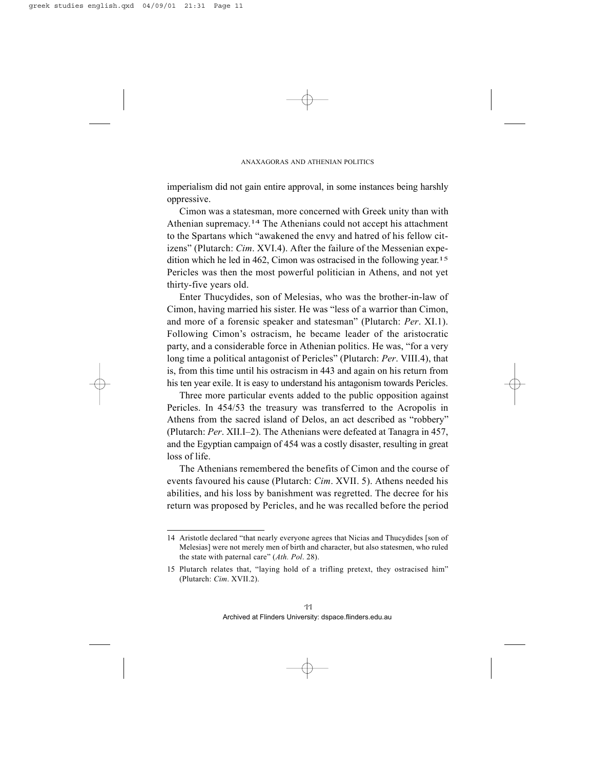imperialism did not gain entire approval, in some instances being harshly oppressive.

Cimon was a statesman, more concerned with Greek unity than with Athenian supremacy.14 The Athenians could not accept his attachment to the Spartans which "awakened the envy and hatred of his fellow citizens" (Plutarch: *Cim*. XVI.4). After the failure of the Messenian expedition which he led in 462, Cimon was ostracised in the following year.15 Pericles was then the most powerful politician in Athens, and not yet thirty-five years old.

Enter Thucydides, son of Melesias, who was the brother-in-law of Cimon, having married his sister. He was "less of a warrior than Cimon, and more of a forensic speaker and statesman" (Plutarch: *Per*. XI.1). Following Cimon's ostracism, he became leader of the aristocratic party, and a considerable force in Athenian politics. He was, "for a very long time a political antagonist of Pericles" (Plutarch: *Per*. VIII.4), that is, from this time until his ostracism in 443 and again on his return from his ten year exile. It is easy to understand his antagonism towards Pericles.

Three more particular events added to the public opposition against Pericles. In 454/53 the treasury was transferred to the Acropolis in Athens from the sacred island of Delos, an act described as "robbery" (Plutarch: *Per*. XII.I–2). The Athenians were defeated at Tanagra in 457, and the Egyptian campaign of 454 was a costly disaster, resulting in great loss of life.

The Athenians remembered the benefits of Cimon and the course of events favoured his cause (Plutarch: *Cim*. XVII. 5). Athens needed his abilities, and his loss by banishment was regretted. The decree for his return was proposed by Pericles, and he was recalled before the period

<sup>14</sup> Aristotle declared "that nearly everyone agrees that Nicias and Thucydides [son of Melesias] were not merely men of birth and character, but also statesmen, who ruled the state with paternal care" (*Ath. Pol*. 28).

<sup>15</sup> Plutarch relates that, "laying hold of a trifling pretext, they ostracised him" (Plutarch: *Cim*. XVII.2).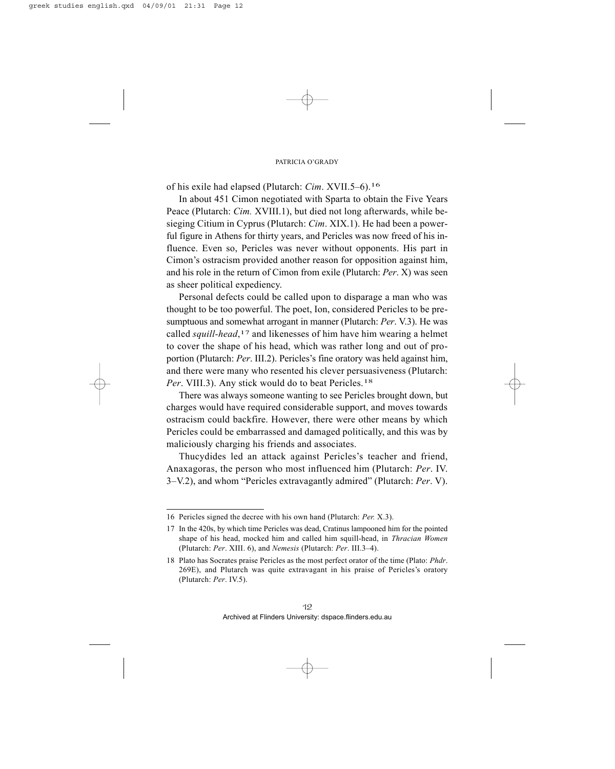of his exile had elapsed (Plutarch: *Cim*. XVII.5–6).16

In about 451 Cimon negotiated with Sparta to obtain the Five Years Peace (Plutarch: *Cim.* XVIII.1), but died not long afterwards, while besieging Citium in Cyprus (Plutarch: *Cim*. XIX.1). He had been a powerful figure in Athens for thirty years, and Pericles was now freed of his influence. Even so, Pericles was never without opponents. His part in Cimon's ostracism provided another reason for opposition against him, and his role in the return of Cimon from exile (Plutarch: *Per*. X) was seen as sheer political expediency.

Personal defects could be called upon to disparage a man who was thought to be too powerful. The poet, Ion, considered Pericles to be presumptuous and somewhat arrogant in manner (Plutarch: *Per*. V.3). He was called *squill-head*, 17 and likenesses of him have him wearing a helmet to cover the shape of his head, which was rather long and out of proportion (Plutarch: *Per*. III.2). Pericles's fine oratory was held against him, and there were many who resented his clever persuasiveness (Plutarch: *Per*. VIII.3). Any stick would do to beat Pericles.<sup>18</sup>

There was always someone wanting to see Pericles brought down, but charges would have required considerable support, and moves towards ostracism could backfire. However, there were other means by which Pericles could be embarrassed and damaged politically, and this was by maliciously charging his friends and associates.

Thucydides led an attack against Pericles's teacher and friend, Anaxagoras, the person who most influenced him (Plutarch: *Per*. IV. 3–V.2), and whom "Pericles extravagantly admired" (Plutarch: *Per*. V).

<sup>16</sup> Pericles signed the decree with his own hand (Plutarch: *Per.* X.3).

<sup>17</sup> In the 420s, by which time Pericles was dead, Cratinus lampooned him for the pointed shape of his head, mocked him and called him squill-head, in *Thracian Women* (Plutarch: *Per*. XIII. 6), and *Nemesis* (Plutarch: *Per*. III.3–4).

<sup>18</sup> Plato has Socrates praise Pericles as the most perfect orator of the time (Plato: *Phdr*. 269E), and Plutarch was quite extravagant in his praise of Pericles's oratory (Plutarch: *Per*. IV.5).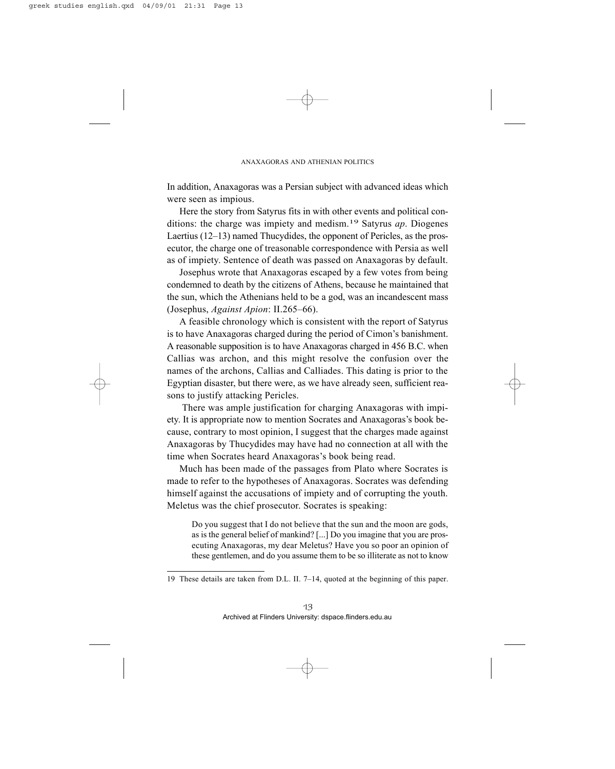In addition, Anaxagoras was a Persian subject with advanced ideas which were seen as impious.

Here the story from Satyrus fits in with other events and political conditions: the charge was impiety and medism.19 Satyrus *ap*. Diogenes Laertius (12–13) named Thucydides, the opponent of Pericles, as the prosecutor, the charge one of treasonable correspondence with Persia as well as of impiety. Sentence of death was passed on Anaxagoras by default.

Josephus wrote that Anaxagoras escaped by a few votes from being condemned to death by the citizens of Athens, because he maintained that the sun, which the Athenians held to be a god, was an incandescent mass (Josephus, *Against Apion*: II.265–66).

A feasible chronology which is consistent with the report of Satyrus is to have Anaxagoras charged during the period of Cimon's banishment. A reasonable supposition is to have Anaxagoras charged in 456 B.C. when Callias was archon, and this might resolve the confusion over the names of the archons, Callias and Calliades. This dating is prior to the Egyptian disaster, but there were, as we have already seen, sufficient reasons to justify attacking Pericles.

There was ample justification for charging Anaxagoras with impiety. It is appropriate now to mention Socrates and Anaxagoras's book because, contrary to most opinion, I suggest that the charges made against Anaxagoras by Thucydides may have had no connection at all with the time when Socrates heard Anaxagoras's book being read.

Much has been made of the passages from Plato where Socrates is made to refer to the hypotheses of Anaxagoras. Socrates was defending himself against the accusations of impiety and of corrupting the youth. Meletus was the chief prosecutor. Socrates is speaking:

Do you suggest that I do not believe that the sun and the moon are gods, as is the general belief of mankind? [...] Do you imagine that you are prosecuting Anaxagoras, my dear Meletus? Have you so poor an opinion of these gentlemen, and do you assume them to be so illiterate as not to know

<sup>19</sup> These details are taken from D.L. II. 7–14, quoted at the beginning of this paper.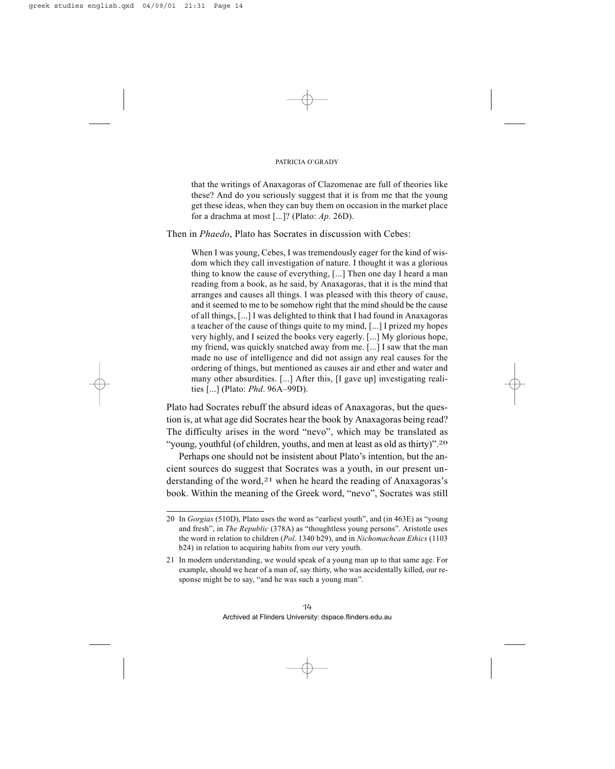#### PATRICIA O'GRADY

that the writings of Anaxagoras of Clazomenae are full of theories like these? And do you seriously suggest that it is from me that the young get these ideas, when they can buy them on occasion in the market place for a drachma at most [...]? (Plato: *Ap*. 26D).

Then in *Phaedo*, Plato has Socrates in discussion with Cebes:

When I was young, Cebes, I was tremendously eager for the kind of wisdom which they call investigation of nature. I thought it was a glorious thing to know the cause of everything, [...] Then one day I heard a man reading from a book, as he said, by Anaxagoras, that it is the mind that arranges and causes all things. I was pleased with this theory of cause, and it seemed to me to be somehow right that the mind should be the cause of all things, [...] I was delighted to think that I had found in Anaxagoras a teacher of the cause of things quite to my mind, [...] I prized my hopes very highly, and I seized the books very eagerly. [...] My glorious hope, my friend, was quickly snatched away from me. [...] I saw that the man made no use of intelligence and did not assign any real causes for the ordering of things, but mentioned as causes air and ether and water and many other absurdities. [...] After this, [I gave up] investigating realities [...] (Plato: *Phd*. 96A–99D).

Plato had Socrates rebuff the absurd ideas of Anaxagoras, but the question is, at what age did Socrates hear the book by Anaxagoras being read? The difficulty arises in the word "nevo", which may be translated as "young, youthful (of children, youths, and men at least as old as thirty)".20

Perhaps one should not be insistent about Plato's intention, but the ancient sources do suggest that Socrates was a youth, in our present understanding of the word,<sup>21</sup> when he heard the reading of Anaxagoras's book. Within the meaning of the Greek word, "nevo", Socrates was still

<sup>20</sup> In *Gorgias* (510D), Plato uses the word as "earliest youth", and (in 463E) as "young and fresh", in *The Republic* (378A) as "thoughtless young persons". Aristotle uses the word in relation to children (*Pol*. 1340 b29), and in *Nichomachean Ethics* (1103 b24) in relation to acquiring habits from our very youth.

<sup>21</sup> In modern understanding, we would speak of a young man up to that same age. For example, should we hear of a man of, say thirty, who was accidentally killed, our response might be to say, "and he was such a young man".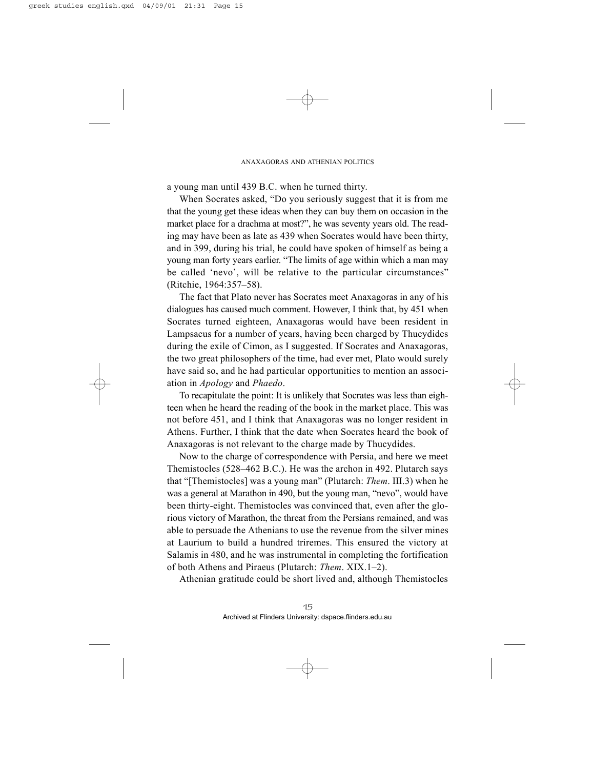a young man until 439 B.C. when he turned thirty.

When Socrates asked, "Do you seriously suggest that it is from me that the young get these ideas when they can buy them on occasion in the market place for a drachma at most?", he was seventy years old. The reading may have been as late as 439 when Socrates would have been thirty, and in 399, during his trial, he could have spoken of himself as being a young man forty years earlier. "The limits of age within which a man may be called 'nevo', will be relative to the particular circumstances" (Ritchie, 1964:357–58).

The fact that Plato never has Socrates meet Anaxagoras in any of his dialogues has caused much comment. However, I think that, by 451 when Socrates turned eighteen, Anaxagoras would have been resident in Lampsacus for a number of years, having been charged by Thucydides during the exile of Cimon, as I suggested. If Socrates and Anaxagoras, the two great philosophers of the time, had ever met, Plato would surely have said so, and he had particular opportunities to mention an association in *Apology* and *Phaedo*.

To recapitulate the point: It is unlikely that Socrates was less than eighteen when he heard the reading of the book in the market place. This was not before 451, and I think that Anaxagoras was no longer resident in Athens. Further, I think that the date when Socrates heard the book of Anaxagoras is not relevant to the charge made by Thucydides.

Now to the charge of correspondence with Persia, and here we meet Themistocles (528–462 B.C.). He was the archon in 492. Plutarch says that "[Themistocles] was a young man" (Plutarch: *Them*. III.3) when he was a general at Marathon in 490, but the young man, "nevo", would have been thirty-eight. Themistocles was convinced that, even after the glorious victory of Marathon, the threat from the Persians remained, and was able to persuade the Athenians to use the revenue from the silver mines at Laurium to build a hundred triremes. This ensured the victory at Salamis in 480, and he was instrumental in completing the fortification of both Athens and Piraeus (Plutarch: *Them*. XIX.1–2).

Athenian gratitude could be short lived and, although Themistocles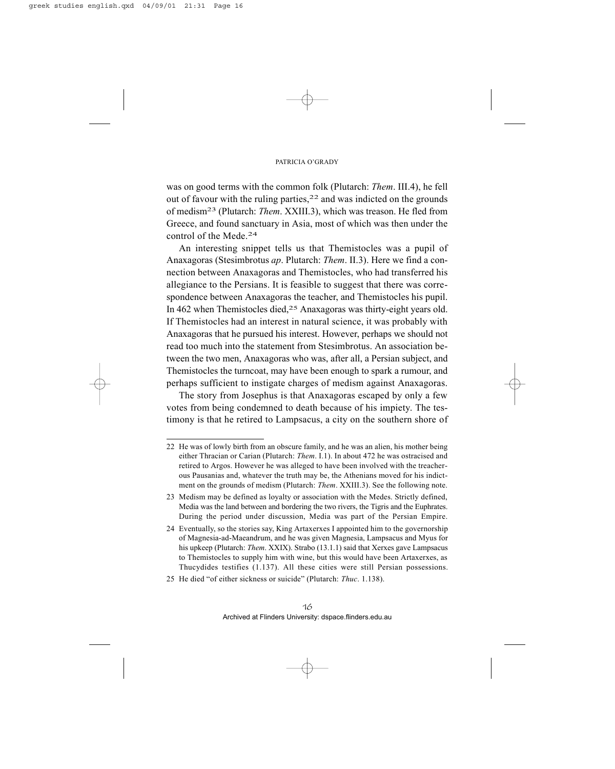was on good terms with the common folk (Plutarch: *Them*. III.4), he fell out of favour with the ruling parties,  $22$  and was indicted on the grounds of medism23 (Plutarch: *Them*. XXIII.3), which was treason. He fled from Greece, and found sanctuary in Asia, most of which was then under the control of the Mede.24

An interesting snippet tells us that Themistocles was a pupil of Anaxagoras (Stesimbrotus *ap*. Plutarch: *Them*. II.3). Here we find a connection between Anaxagoras and Themistocles, who had transferred his allegiance to the Persians. It is feasible to suggest that there was correspondence between Anaxagoras the teacher, and Themistocles his pupil. In 462 when Themistocles died,25 Anaxagoras was thirty-eight years old. If Themistocles had an interest in natural science, it was probably with Anaxagoras that he pursued his interest. However, perhaps we should not read too much into the statement from Stesimbrotus. An association between the two men, Anaxagoras who was, after all, a Persian subject, and Themistocles the turncoat, may have been enough to spark a rumour, and perhaps sufficient to instigate charges of medism against Anaxagoras.

The story from Josephus is that Anaxagoras escaped by only a few votes from being condemned to death because of his impiety. The testimony is that he retired to Lampsacus, a city on the southern shore of

<sup>22</sup> He was of lowly birth from an obscure family, and he was an alien, his mother being either Thracian or Carian (Plutarch: *Them*. I.1). In about 472 he was ostracised and retired to Argos. However he was alleged to have been involved with the treacherous Pausanias and, whatever the truth may be, the Athenians moved for his indictment on the grounds of medism (Plutarch: *Them*. XXIII.3). See the following note.

<sup>23</sup> Medism may be defined as loyalty or association with the Medes. Strictly defined, Media was the land between and bordering the two rivers, the Tigris and the Euphrates. During the period under discussion, Media was part of the Persian Empire.

<sup>24</sup> Eventually, so the stories say, King Artaxerxes I appointed him to the governorship of Magnesia-ad-Maeandrum, and he was given Magnesia, Lampsacus and Myus for his upkeep (Plutarch: *Them*. XXIX). Strabo (13.1.1) said that Xerxes gave Lampsacus to Themistocles to supply him with wine, but this would have been Artaxerxes, as Thucydides testifies (1.137). All these cities were still Persian possessions.

<sup>25</sup> He died "of either sickness or suicide" (Plutarch: *Thuc*. 1.138).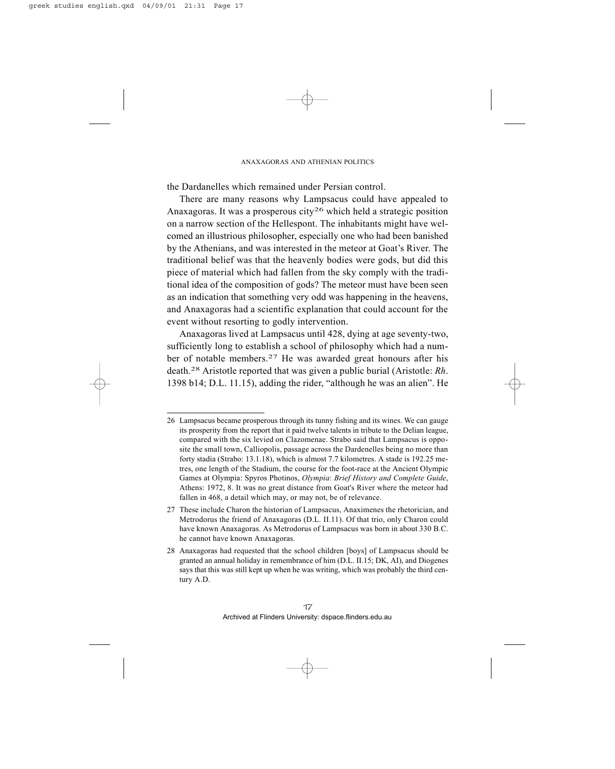the Dardanelles which remained under Persian control.

There are many reasons why Lampsacus could have appealed to Anaxagoras. It was a prosperous city<sup>26</sup> which held a strategic position on a narrow section of the Hellespont. The inhabitants might have welcomed an illustrious philosopher, especially one who had been banished by the Athenians, and was interested in the meteor at Goat's River. The traditional belief was that the heavenly bodies were gods, but did this piece of material which had fallen from the sky comply with the traditional idea of the composition of gods? The meteor must have been seen as an indication that something very odd was happening in the heavens, and Anaxagoras had a scientific explanation that could account for the event without resorting to godly intervention.

Anaxagoras lived at Lampsacus until 428, dying at age seventy-two, sufficiently long to establish a school of philosophy which had a number of notable members.27 He was awarded great honours after his death.28 Aristotle reported that was given a public burial (Aristotle: *Rh*. 1398 b14; D.L. 11.15), adding the rider, "although he was an alien". He

<sup>26</sup> Lampsacus became prosperous through its tunny fishing and its wines. We can gauge its prosperity from the report that it paid twelve talents in tribute to the Delian league, compared with the six levied on Clazomenae. Strabo said that Lampsacus is opposite the small town, Calliopolis, passage across the Dardenelles being no more than forty stadia (Strabo: 13.1.18), which is almost 7.7 kilometres. A stade is 192.25 metres, one length of the Stadium, the course for the foot-race at the Ancient Olympic Games at Olympia: Spyros Photinos, *Olympia*: *Brief History and Complete Guide*, Athens: 1972, 8. It was no great distance from Goat's River where the meteor had fallen in 468, a detail which may, or may not, be of relevance.

<sup>27</sup> These include Charon the historian of Lampsacus, Anaximenes the rhetorician, and Metrodorus the friend of Anaxagoras (D.L. II.11). Of that trio, only Charon could have known Anaxagoras. As Metrodorus of Lampsacus was born in about 330 B.C. he cannot have known Anaxagoras.

<sup>28</sup> Anaxagoras had requested that the school children [boys] of Lampsacus should be granted an annual holiday in remembrance of him (D.L. II.15; DK, AI), and Diogenes says that this was still kept up when he was writing, which was probably the third century A.D.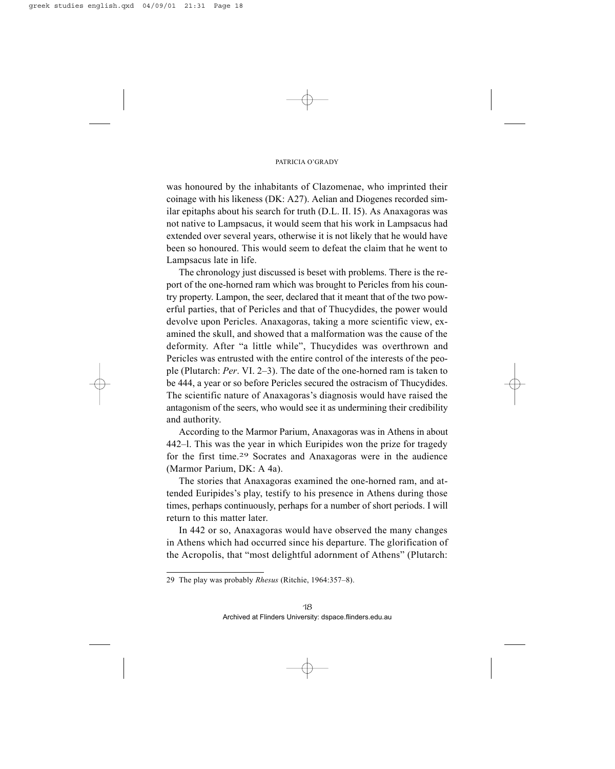was honoured by the inhabitants of Clazomenae, who imprinted their coinage with his likeness (DK: A27). Aelian and Diogenes recorded similar epitaphs about his search for truth (D.L. II. I5). As Anaxagoras was not native to Lampsacus, it would seem that his work in Lampsacus had extended over several years, otherwise it is not likely that he would have been so honoured. This would seem to defeat the claim that he went to Lampsacus late in life.

The chronology just discussed is beset with problems. There is the report of the one-horned ram which was brought to Pericles from his country property. Lampon, the seer, declared that it meant that of the two powerful parties, that of Pericles and that of Thucydides, the power would devolve upon Pericles. Anaxagoras, taking a more scientific view, examined the skull, and showed that a malformation was the cause of the deformity. After "a little while", Thucydides was overthrown and Pericles was entrusted with the entire control of the interests of the people (Plutarch: *Per*. VI. 2–3). The date of the one-horned ram is taken to be 444, a year or so before Pericles secured the ostracism of Thucydides. The scientific nature of Anaxagoras's diagnosis would have raised the antagonism of the seers, who would see it as undermining their credibility and authority.

According to the Marmor Parium, Anaxagoras was in Athens in about 442–l. This was the year in which Euripides won the prize for tragedy for the first time.29 Socrates and Anaxagoras were in the audience (Marmor Parium, DK: A 4a).

The stories that Anaxagoras examined the one-horned ram, and attended Euripides's play, testify to his presence in Athens during those times, perhaps continuously, perhaps for a number of short periods. I will return to this matter later.

In 442 or so, Anaxagoras would have observed the many changes in Athens which had occurred since his departure. The glorification of the Acropolis, that "most delightful adornment of Athens" (Plutarch:

<sup>29</sup> The play was probably *Rhesus* (Ritchie, 1964:357–8).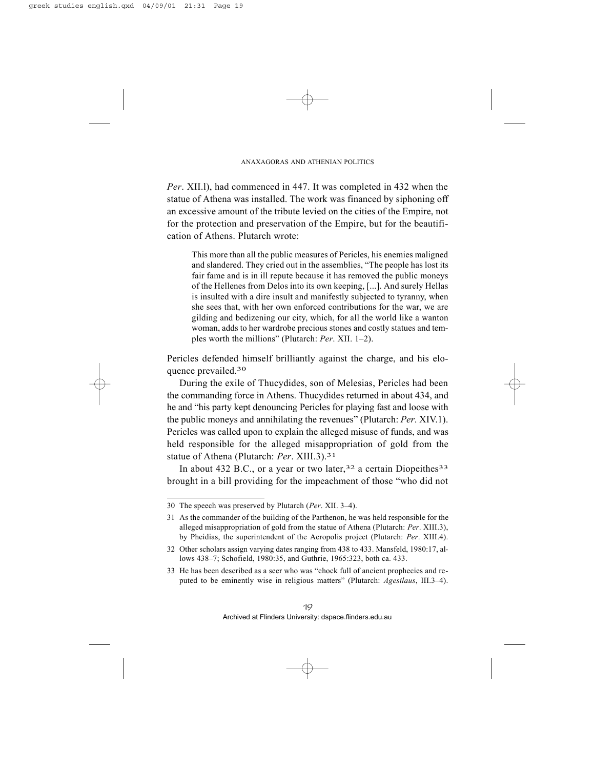*Per*. XII.l), had commenced in 447. It was completed in 432 when the statue of Athena was installed. The work was financed by siphoning off an excessive amount of the tribute levied on the cities of the Empire, not for the protection and preservation of the Empire, but for the beautification of Athens. Plutarch wrote:

This more than all the public measures of Pericles, his enemies maligned and slandered. They cried out in the assemblies, "The people has lost its fair fame and is in ill repute because it has removed the public moneys of the Hellenes from Delos into its own keeping, [...]. And surely Hellas is insulted with a dire insult and manifestly subjected to tyranny, when she sees that, with her own enforced contributions for the war, we are gilding and bedizening our city, which, for all the world like a wanton woman, adds to her wardrobe precious stones and costly statues and temples worth the millions" (Plutarch: *Per*. XII. 1–2).

Pericles defended himself brilliantly against the charge, and his eloquence prevailed.30

During the exile of Thucydides, son of Melesias, Pericles had been the commanding force in Athens. Thucydides returned in about 434, and he and "his party kept denouncing Pericles for playing fast and loose with the public moneys and annihilating the revenues" (Plutarch: *Per*. XIV.1). Pericles was called upon to explain the alleged misuse of funds, and was held responsible for the alleged misappropriation of gold from the statue of Athena (Plutarch: *Per*. XIII.3).31

In about 432 B.C., or a year or two later,  $32$  a certain Diopeithes<sup>33</sup> brought in a bill providing for the impeachment of those "who did not

<sup>30</sup> The speech was preserved by Plutarch (*Per*. XII. 3–4).

<sup>31</sup> As the commander of the building of the Parthenon, he was held responsible for the alleged misappropriation of gold from the statue of Athena (Plutarch: *Per*. XIII.3), by Pheidias, the superintendent of the Acropolis project (Plutarch: *Per*. XIII.4).

<sup>32</sup> Other scholars assign varying dates ranging from 438 to 433. Mansfeld, 1980:17, allows 438–7; Schofield, 1980:35, and Guthrie, 1965:323, both ca. 433.

<sup>33</sup> He has been described as a seer who was "chock full of ancient prophecies and reputed to be eminently wise in religious matters" (Plutarch: *Agesilaus*, III.3–4).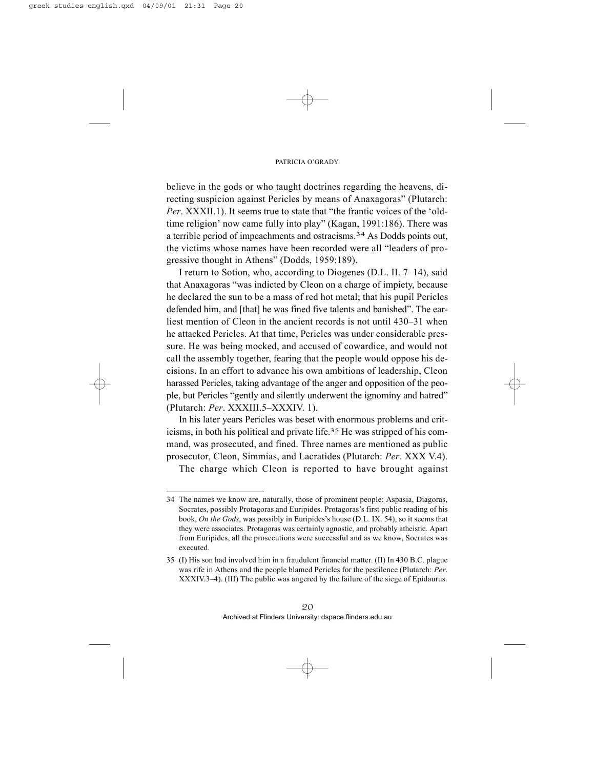#### PATRICIA O'GRADY

believe in the gods or who taught doctrines regarding the heavens, directing suspicion against Pericles by means of Anaxagoras" (Plutarch: *Per*. XXXII.1). It seems true to state that "the frantic voices of the 'oldtime religion' now came fully into play" (Kagan, 1991:186). There was a terrible period of impeachments and ostracisms.34 As Dodds points out, the victims whose names have been recorded were all "leaders of progressive thought in Athens" (Dodds, 1959:189).

I return to Sotion, who, according to Diogenes (D.L. II. 7–14), said that Anaxagoras "was indicted by Cleon on a charge of impiety, because he declared the sun to be a mass of red hot metal; that his pupil Pericles defended him, and [that] he was fined five talents and banished". The earliest mention of Cleon in the ancient records is not until 430–31 when he attacked Pericles. At that time, Pericles was under considerable pressure. He was being mocked, and accused of cowardice, and would not call the assembly together, fearing that the people would oppose his decisions. In an effort to advance his own ambitions of leadership, Cleon harassed Pericles, taking advantage of the anger and opposition of the people, but Pericles "gently and silently underwent the ignominy and hatred" (Plutarch: *Per*. XXXIII.5–XXXIV. 1).

In his later years Pericles was beset with enormous problems and criticisms, in both his political and private life.<sup>35</sup> He was stripped of his command, was prosecuted, and fined. Three names are mentioned as public prosecutor, Cleon, Simmias, and Lacratides (Plutarch: *Per*. XXX V.4).

The charge which Cleon is reported to have brought against

<sup>34</sup> The names we know are, naturally, those of prominent people: Aspasia, Diagoras, Socrates, possibly Protagoras and Euripides. Protagoras's first public reading of his book, *On the Gods*, was possibly in Euripides's house (D.L. IX. 54), so it seems that they were associates. Protagoras was certainly agnostic, and probably atheistic. Apart from Euripides, all the prosecutions were successful and as we know, Socrates was executed.

<sup>35 (</sup>I) His son had involved him in a fraudulent financial matter. (II) In 430 B.C. plague was rife in Athens and the people blamed Pericles for the pestilence (Plutarch: *Per*. XXXIV.3–4). (III) The public was angered by the failure of the siege of Epidaurus.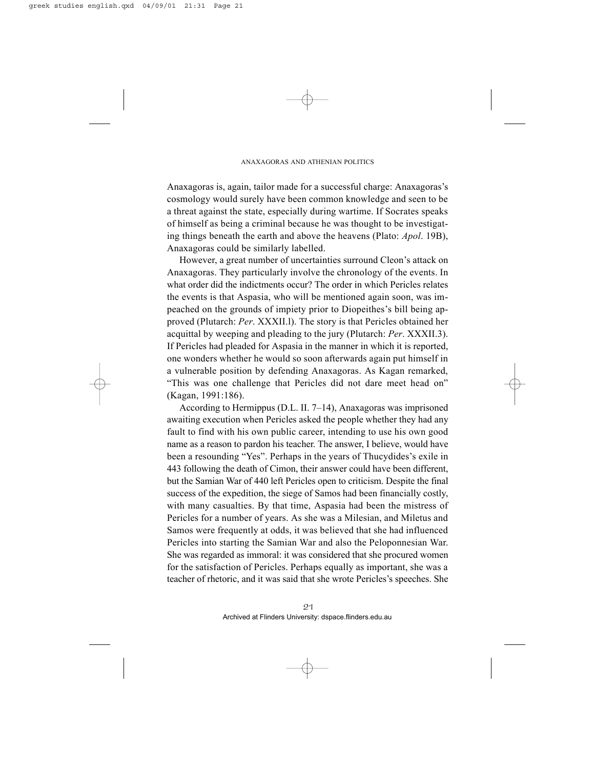Anaxagoras is, again, tailor made for a successful charge: Anaxagoras's cosmology would surely have been common knowledge and seen to be a threat against the state, especially during wartime. If Socrates speaks of himself as being a criminal because he was thought to be investigating things beneath the earth and above the heavens (Plato: *Apol*. 19B), Anaxagoras could be similarly labelled.

However, a great number of uncertainties surround Cleon's attack on Anaxagoras. They particularly involve the chronology of the events. In what order did the indictments occur? The order in which Pericles relates the events is that Aspasia, who will be mentioned again soon, was impeached on the grounds of impiety prior to Diopeithes's bill being approved (Plutarch: *Per*. XXXII.l). The story is that Pericles obtained her acquittal by weeping and pleading to the jury (Plutarch: *Per*. XXXII.3). If Pericles had pleaded for Aspasia in the manner in which it is reported, one wonders whether he would so soon afterwards again put himself in a vulnerable position by defending Anaxagoras. As Kagan remarked, "This was one challenge that Pericles did not dare meet head on" (Kagan, 1991:186).

According to Hermippus (D.L. II. 7–14), Anaxagoras was imprisoned awaiting execution when Pericles asked the people whether they had any fault to find with his own public career, intending to use his own good name as a reason to pardon his teacher. The answer, I believe, would have been a resounding "Yes". Perhaps in the years of Thucydides's exile in 443 following the death of Cimon, their answer could have been different, but the Samian War of 440 left Pericles open to criticism. Despite the final success of the expedition, the siege of Samos had been financially costly, with many casualties. By that time, Aspasia had been the mistress of Pericles for a number of years. As she was a Milesian, and Miletus and Samos were frequently at odds, it was believed that she had influenced Pericles into starting the Samian War and also the Peloponnesian War. She was regarded as immoral: it was considered that she procured women for the satisfaction of Pericles. Perhaps equally as important, she was a teacher of rhetoric, and it was said that she wrote Pericles's speeches. She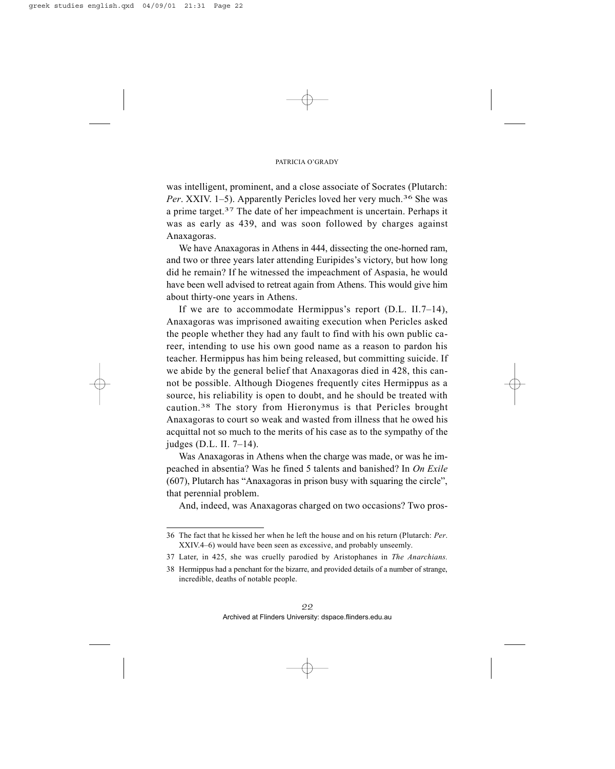was intelligent, prominent, and a close associate of Socrates (Plutarch: *Per.* XXIV. 1–5). Apparently Pericles loved her very much.<sup>36</sup> She was a prime target.37 The date of her impeachment is uncertain. Perhaps it was as early as 439, and was soon followed by charges against Anaxagoras.

We have Anaxagoras in Athens in 444, dissecting the one-horned ram, and two or three years later attending Euripides's victory, but how long did he remain? If he witnessed the impeachment of Aspasia, he would have been well advised to retreat again from Athens. This would give him about thirty-one years in Athens.

If we are to accommodate Hermippus's report (D.L. II.7–14), Anaxagoras was imprisoned awaiting execution when Pericles asked the people whether they had any fault to find with his own public career, intending to use his own good name as a reason to pardon his teacher. Hermippus has him being released, but committing suicide. If we abide by the general belief that Anaxagoras died in 428, this cannot be possible. Although Diogenes frequently cites Hermippus as a source, his reliability is open to doubt, and he should be treated with caution.38 The story from Hieronymus is that Pericles brought Anaxagoras to court so weak and wasted from illness that he owed his acquittal not so much to the merits of his case as to the sympathy of the judges (D.L. II. 7–14).

Was Anaxagoras in Athens when the charge was made, or was he impeached in absentia? Was he fined 5 talents and banished? In *On Exile* (607), Plutarch has "Anaxagoras in prison busy with squaring the circle", that perennial problem.

And, indeed, was Anaxagoras charged on two occasions? Two pros-

<sup>36</sup> The fact that he kissed her when he left the house and on his return (Plutarch: *Per*. XXIV.4–6) would have been seen as excessive, and probably unseemly.

<sup>37</sup> Later, in 425, she was cruelly parodied by Aristophanes in *The Anarchians.*

<sup>38</sup> Hermippus had a penchant for the bizarre, and provided details of a number of strange, incredible, deaths of notable people.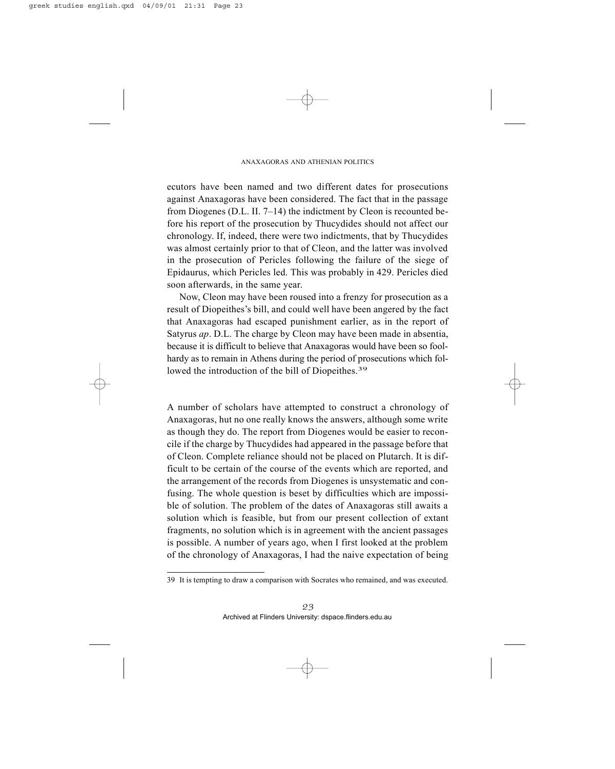ecutors have been named and two different dates for prosecutions against Anaxagoras have been considered. The fact that in the passage from Diogenes (D.L. II. 7–14) the indictment by Cleon is recounted before his report of the prosecution by Thucydides should not affect our chronology. If, indeed, there were two indictments, that by Thucydides was almost certainly prior to that of Cleon, and the latter was involved in the prosecution of Pericles following the failure of the siege of Epidaurus, which Pericles led. This was probably in 429. Pericles died soon afterwards, in the same year.

Now, Cleon may have been roused into a frenzy for prosecution as a result of Diopeithes's bill, and could well have been angered by the fact that Anaxagoras had escaped punishment earlier, as in the report of Satyrus *ap*. D.L. The charge by Cleon may have been made in absentia, because it is difficult to believe that Anaxagoras would have been so foolhardy as to remain in Athens during the period of prosecutions which followed the introduction of the bill of Diopeithes.<sup>39</sup>

A number of scholars have attempted to construct a chronology of Anaxagoras, hut no one really knows the answers, although some write as though they do. The report from Diogenes would be easier to reconcile if the charge by Thucydides had appeared in the passage before that of Cleon. Complete reliance should not be placed on Plutarch. It is difficult to be certain of the course of the events which are reported, and the arrangement of the records from Diogenes is unsystematic and confusing. The whole question is beset by difficulties which are impossible of solution. The problem of the dates of Anaxagoras still awaits a solution which is feasible, but from our present collection of extant fragments, no solution which is in agreement with the ancient passages is possible. A number of years ago, when I first looked at the problem of the chronology of Anaxagoras, I had the naive expectation of being

<sup>39</sup> It is tempting to draw a comparison with Socrates who remained, and was executed.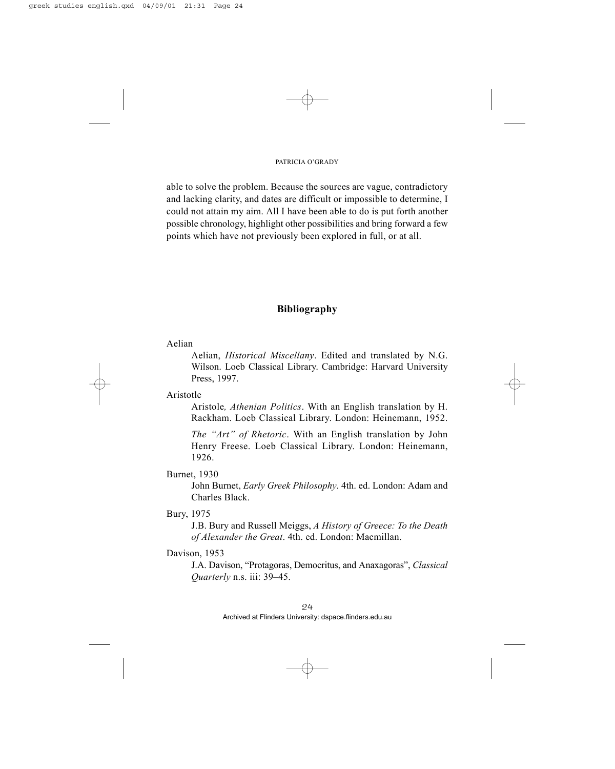able to solve the problem. Because the sources are vague, contradictory and lacking clarity, and dates are difficult or impossible to determine, I could not attain my aim. All I have been able to do is put forth another possible chronology, highlight other possibilities and bring forward a few points which have not previously been explored in full, or at all.

# **Bibliography**

# Aelian

Aelian, *Historical Miscellany*. Edited and translated by N.G. Wilson. Loeb Classical Library. Cambridge: Harvard University Press, 1997.

# Aristotle

Aristole*, Athenian Politics*. With an English translation by H. Rackham. Loeb Classical Library. London: Heinemann, 1952.

*The "Art" of Rhetoric*. With an English translation by John Henry Freese. Loeb Classical Library. London: Heinemann, 1926.

# Burnet, 1930

John Burnet, *Early Greek Philosophy*. 4th. ed. London: Adam and Charles Black.

# Bury, 1975

J.B. Bury and Russell Meiggs, *A History of Greece: To the Death of Alexander the Great*. 4th. ed. London: Macmillan.

# Davison, 1953

J.A. Davison, "Protagoras, Democritus, and Anaxagoras", *Classical Quarterly* n.s. iii: 39–45.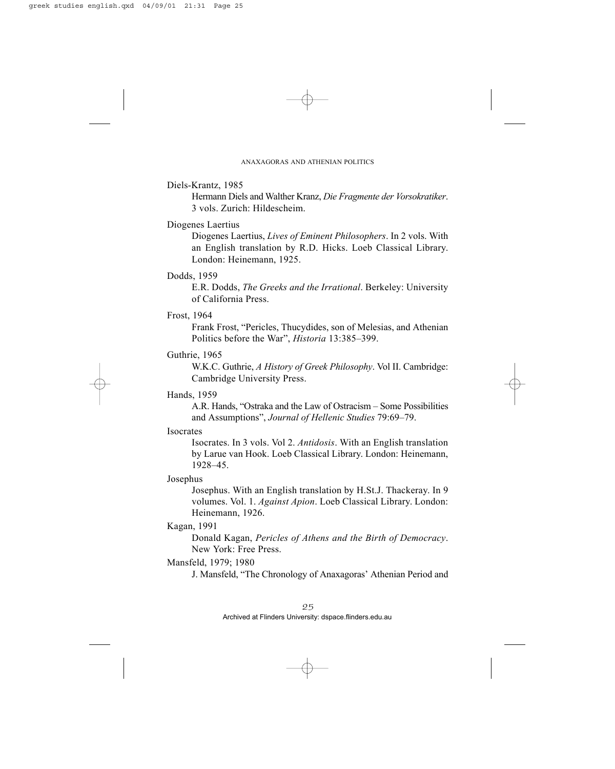# Diels-Krantz, 1985

Hermann Diels and Walther Kranz, *Die Fragmente der Vorsokratiker*. 3 vols. Zurich: Hildescheim.

# Diogenes Laertius

Diogenes Laertius, *Lives of Eminent Philosophers*. In 2 vols. With an English translation by R.D. Hicks. Loeb Classical Library. London: Heinemann, 1925.

# Dodds, 1959

E.R. Dodds, *The Greeks and the Irrational*. Berkeley: University of California Press.

# Frost, 1964

Frank Frost, "Pericles, Thucydides, son of Melesias, and Athenian Politics before the War", *Historia* 13:385–399.

# Guthrie, 1965

W.K.C. Guthrie, *A History of Greek Philosophy*. Vol II. Cambridge: Cambridge University Press.

# Hands, 1959

A.R. Hands, "Ostraka and the Law of Ostracism – Some Possibilities and Assumptions", *Journal of Hellenic Studies* 79:69–79.

# Isocrates

Isocrates. In 3 vols. Vol 2. *Antidosis*. With an English translation by Larue van Hook. Loeb Classical Library. London: Heinemann, 1928–45.

# Josephus

Josephus. With an English translation by H.St.J. Thackeray. In 9 volumes. Vol. 1. *Against Apion*. Loeb Classical Library. London: Heinemann, 1926.

# Kagan, 1991

Donald Kagan, *Pericles of Athens and the Birth of Democracy*. New York: Free Press.

#### Mansfeld, 1979; 1980

J. Mansfeld, "The Chronology of Anaxagoras' Athenian Period and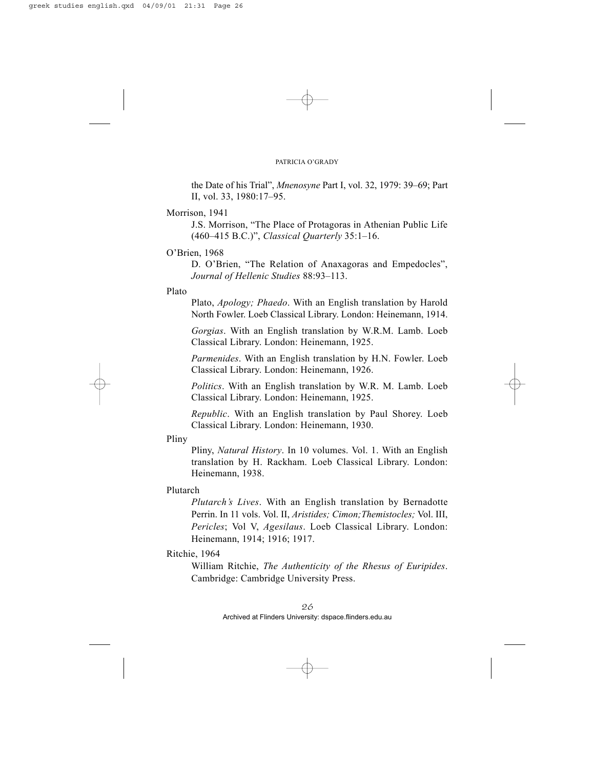the Date of his Trial", *Mnenosyne* Part I, vol. 32, 1979: 39–69; Part II, vol. 33, 1980:17–95.

# Morrison, 1941

J.S. Morrison, "The Place of Protagoras in Athenian Public Life (460–415 B.C.)", *Classical Quarterly* 35:1–16.

# O'Brien, 1968

D. O'Brien, "The Relation of Anaxagoras and Empedocles", *Journal of Hellenic Studies* 88:93–113.

# Plato

Plato, *Apology; Phaedo*. With an English translation by Harold North Fowler. Loeb Classical Library. London: Heinemann, 1914.

*Gorgias*. With an English translation by W.R.M. Lamb. Loeb Classical Library. London: Heinemann, 1925.

*Parmenides*. With an English translation by H.N. Fowler. Loeb Classical Library. London: Heinemann, 1926.

*Politics*. With an English translation by W.R. M. Lamb. Loeb Classical Library. London: Heinemann, 1925.

*Republic*. With an English translation by Paul Shorey. Loeb Classical Library. London: Heinemann, 1930.

# Pliny

Pliny, *Natural History*. In 10 volumes. Vol. 1. With an English translation by H. Rackham. Loeb Classical Library. London: Heinemann, 1938.

# Plutarch

*Plutarch's Lives*. With an English translation by Bernadotte Perrin. In 11 vols. Vol. II, *Aristides; Cimon;Themistocles;* Vol. III, *Pericles*; Vol V, *Agesilaus*. Loeb Classical Library. London: Heinemann, 1914; 1916; 1917.

# Ritchie, 1964

William Ritchie, *The Authenticity of the Rhesus of Euripides*. Cambridge: Cambridge University Press.